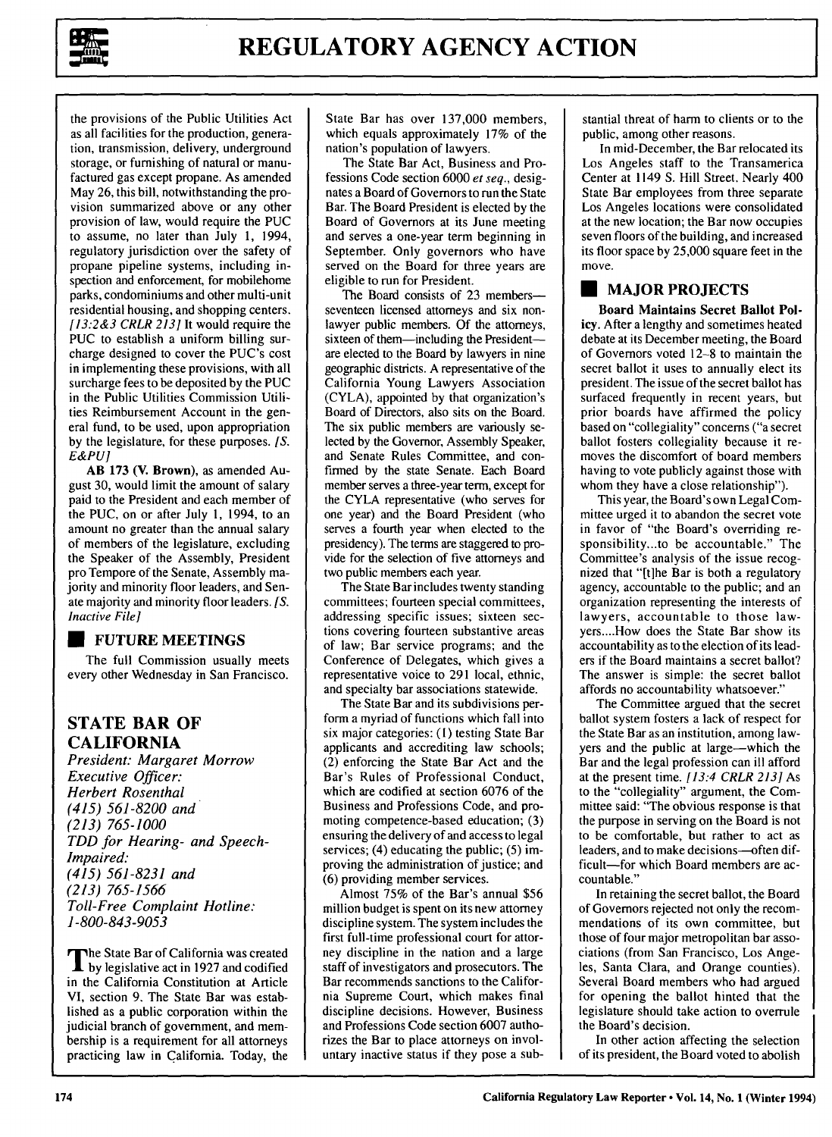

the provisions of the Public Utilities Act as all facilities for the production, generation, transmission, delivery, underground storage, or furnishing of natural or manufactured gas except propane. As amended May 26, this bill, notwithstanding the provision summarized above or any other provision of law, would require the PUC to assume, no later than July 1, 1994, regulatory jurisdiction over the safety of propane pipeline systems, including inspection and enforcement, for mobilehome parks, condominiums and other multi-unit residential housing, and shopping centers. *[13:2&3 CRLR 213]* It would require the **PUC** to establish a uniform billing surcharge designed to cover the PUC's cost in implementing these provisions, with all surcharge fees to be deposited by the PUC in the Public Utilities Commission Utilities Reimbursement Account in the general fund, to be used, upon appropriation by the legislature, for these purposes. [S. *E&PU]*

AB 173 (V. Brown), as amended August 30, would limit the amount of salary paid to the President and each member of the PUC, on or after July 1, 1994, to an amount no greater than the annual salary of members of the legislature, excluding the Speaker of the Assembly, President pro Tempore of the Senate, Assembly majority and minority floor leaders, and Senate majority and minority floor leaders. **[S.** *Inactive File]*

#### **\* FUTURE MEETINGS**

The full Commission usually meets every other Wednesday in San Francisco.

# **STATE BAR OF CALIFORNIA**

*President: Margaret Morrow Executive Officer: Herbert Rosenthal (415) 561-8200 and (213) 765-1000 TDD for Hearing- and Speech-Impaired. (415) 561-8231 and (213) 765-1566 Toll-Free Complaint Hotline: 1-800-843-9053*

The State Bar of California was created **by** legislative act in **1927** and codified in the California Constitution at Article VI, section **9.** The State Bar was established as a public corporation within the judicial branch of government, and membership is a requirement for all attorneys practicing law in California. Today, the State Bar has over 137,000 members, which equals approximately 17% of the nation's population of lawyers.

The State Bar Act, Business and Professions Code section 6000 *et seq.,* designates a Board of Governors to run the State Bar. The Board President is elected by the Board of Governors at its June meeting and serves a one-year term beginning in September. Only governors who have served on the Board for three years are eligible to run for President.

The Board consists of 23 membersseventeen licensed attorneys and six nonlawyer public members. Of the attorneys, sixteen of them-including the Presidentare elected to the Board by lawyers in nine geographic districts. A representative of the California Young Lawyers Association (CYLA), appointed by that organization's Board of Directors, also sits on the Board. The six public members are variously selected by the Governor, Assembly Speaker, and Senate Rules Committee, and confirmed by the state Senate. Each Board member serves a three-year term, except for the CYLA representative (who serves for one year) and the Board President (who serves a fourth year when elected to the presidency). The terms are staggered to provide for the selection of five attorneys and two public members each year.

The State Bar includes twenty standing committees; fourteen special committees, addressing specific issues; sixteen sections covering fourteen substantive areas of law; Bar service programs; and the Conference of Delegates, which gives a representative voice to 291 local, ethnic, and specialty bar associations statewide.

The State Bar and its subdivisions perform a myriad of functions which fall into six major categories: **(1)** testing State Bar applicants and accrediting law schools; (2) enforcing the State Bar Act and the Bar's Rules of Professional Conduct, which are codified at section 6076 of the Business and Professions Code, and promoting competence-based education; (3) ensuring the delivery of and access to legal services; (4) educating the public; (5) improving the administration of justice; and (6) providing member services.

Almost 75% of the Bar's annual \$56 million budget is spent on its new attorney discipline system. The system includes the first full-time professional court for attorney discipline in the nation and a large staff of investigators and prosecutors. The Bar recommends sanctions to the California Supreme Court, which makes final discipline decisions. However, Business and Professions Code section 6007 authorizes the Bar to place attorneys on involuntary inactive status if they pose a substantial threat of harm to clients or to the public, among other reasons.

In mid-December, the Bar relocated its Los Angeles staff to the Transamerica Center at 1149 **S.** Hill Street. Nearly 400 State Bar employees from three separate Los Angeles locations were consolidated at the new location; the Bar now occupies seven floors of the building, and increased its floor space by 25,000 square feet in the move.

#### **\*MAJOR PROJECTS**

**Board Maintains Secret Ballot Policy. After a** lengthy and sometimes heated debate at its December meeting, the Board of Governors voted **12-8** to maintain the secret ballot it uses to annually elect its president. The issue of the secret ballot has surfaced frequently in recent years, but prior boards have affirmed the policy based on "collegiality" concerns ("a secret ballot fosters collegiality because it removes the discomfort of board members having to vote publicly against those with whom they have a close relationship").

This year, the Board's own Legal Committee urged it to abandon the secret vote in favor of "the Board's overriding responsibility...to be accountable." The Committee's analysis of the issue recognized that "[t]he Bar is both a regulatory agency, accountable to the public; and an organization representing the interests of lawyers, accountable to those lawyers **....** How does the State Bar show its accountability as to the election of its leaders if the Board maintains a secret ballot? The answer is simple: the secret ballot affords no accountability whatsoever."

The Committee argued that the secret ballot system fosters a lack of respect for the State Bar as an institution, among lawyers and the public at large-which the Bar and the legal profession can ill afford at the present time. *[13:4 CRLR 213]* As to the "collegiality" argument, the Committee said: "The obvious response is that the purpose in serving on the Board is not to be comfortable, but rather to act as leaders, and to make decisions-often difficult-for which Board members are accountable."

In retaining the secret ballot, the Board of Governors rejected not only the recommendations of its own committee, but those of four major metropolitan bar associations (from San Francisco, Los Angeles, Santa Clara, and Orange counties). Several Board members who had argued for opening the ballot hinted that the legislature should take action to overrule the Board's decision.

In other action affecting the selection of its president, the Board voted to abolish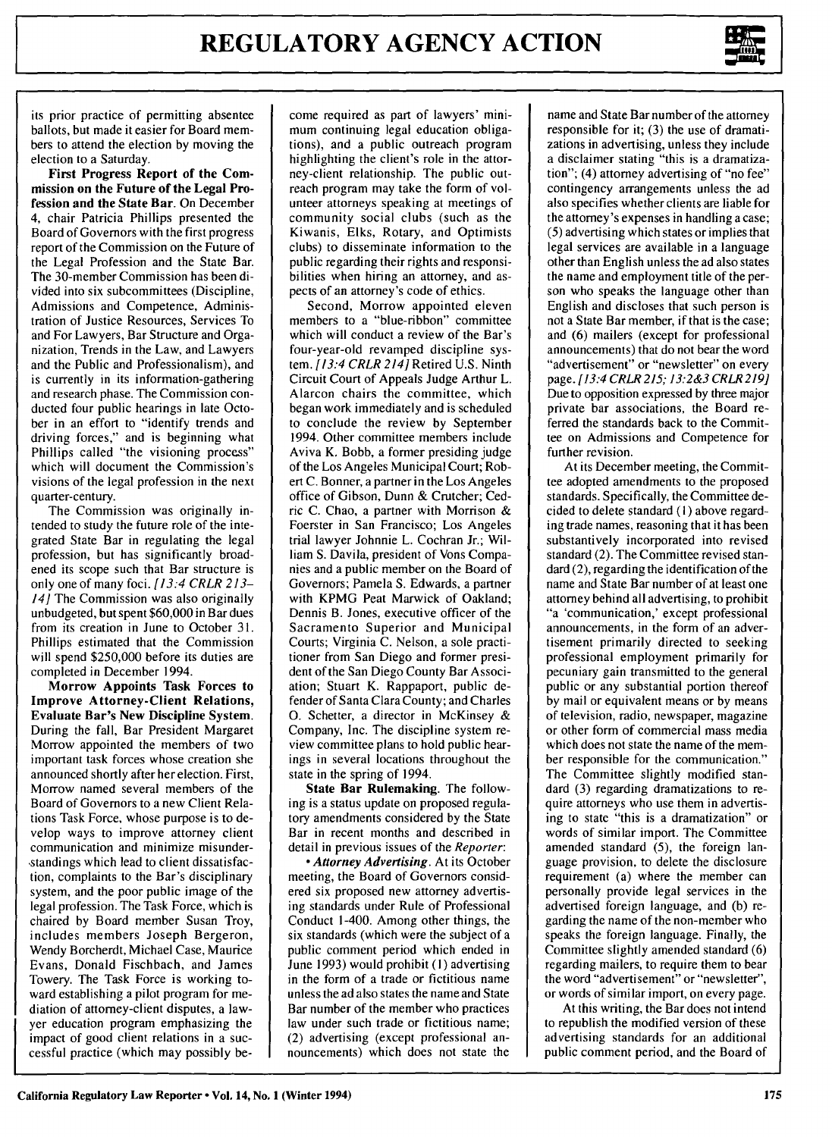

its prior practice of permitting absentee ballots, but made it easier for Board members to attend the election by moving the election to a Saturday.

**First Progress Report of the Commission on the Future of the Legal Profession and the State Bar.** On December 4, chair Patricia Phillips presented the Board of Governors with the first progress report of the Commission on the Future of the Legal Profession and the State Bar. The 30-member Commission has been divided into six subcommittees (Discipline, Admissions and Competence, Administration of Justice Resources, Services To and For Lawyers, Bar Structure and Organization, Trends in the Law, and Lawyers and the Public and Professionalism), and is currently in its information-gathering and research phase. The Commission conducted four public hearings in late October in an effort to "identify trends and driving forces," and is beginning what Phillips called "the visioning process" which will document the Commission's visions of the legal profession in the next quarter-century.

The Commission was originally intended to study the future role of the integrated State Bar in regulating the legal profession, but has significantly broadened its scope such that Bar structure is only one of many foci. *[13:4 CRLR 213- 14]* The Commission was also originally unbudgeted, but spent \$60,000 in Bar dues from its creation in June to October 31. Phillips estimated that the Commission will spend \$250,000 before its duties are completed in December 1994.

**Morrow Appoints Task Forces to Improve Attorney-Client Relations, Evaluate Bar's New Discipline System.** During the fall, Bar President Margaret Morrow appointed the members of two important task forces whose creation she announced shortly after her election. First, Morrow named several members of the Board of Governors to a new Client Relations Task Force, whose purpose is to develop ways to improve attorney client communication and minimize misunder- ,standings which lead to client dissatisfaction, complaints to the Bar's disciplinary system, and the poor public image of the legal profession. The Task Force, which is chaired by Board member Susan Troy, includes members Joseph Bergeron, Wendy Borcherdt, Michael Case, Maurice Evans, Donald Fischbach, and James Towery. The Task Force is working toward establishing a pilot program for mediation of attorney-client disputes, a lawyer education program emphasizing the impact of good client relations in a successful practice (which may possibly become required as part of lawyers' minimum continuing legal education obligations), and a public outreach program highlighting the client's role in the attorney-client relationship. The public outreach program may take the form of volunteer attorneys speaking at meetings of community social clubs (such as the Kiwanis, Elks, Rotary, and Optimists clubs) to disseminate information to the public regarding their rights and responsibilities when hiring an attorney, and aspects of an attorney's code of ethics.

Second, Morrow appointed eleven members to a "blue-ribbon" committee which will conduct a review of the Bar's four-year-old revamped discipline system. *[13:4* CRLR *214]* Retired U.S. Ninth Circuit Court of Appeals Judge Arthur L. Alarcon chairs the committee, which began work immediately and is scheduled to conclude the review by September 1994. Other committee members include Aviva K. Bobb, a former presiding judge of the Los Angeles Municipal Court; Robert C. Bonner, a partner in the Los Angeles office of Gibson, Dunn & Crutcher; Cedric C. Chao, a partner with Morrison & Foerster in San Francisco; Los Angeles trial lawyer Johnnie L. Cochran Jr.; William S. Davila, president of Vons Companies and a public member on the Board of Governors; Pamela S. Edwards, a partner with KPMG Peat Marwick of Oakland; Dennis B. Jones, executive officer of the Sacramento Superior and Municipal Courts; Virginia C. Nelson, a sole practitioner from San Diego and former president of the San Diego County Bar Association; Stuart K. Rappaport, public defender of Santa Clara County; and Charles **0.** Schetter, a director in McKinsey & Company, Inc. The discipline system review committee plans to hold public hearings in several locations throughout the state in the spring of 1994.

State **Bar Rulemaking.** The following is a status update on proposed regulatory amendments considered by the State Bar in recent months and described in detail in previous issues of the *Reporter:*

*\* Attorney Advertising.* At its October meeting, the Board of Governors considered six proposed new attorney advertising standards under Rule of Professional Conduct 1-400. Among other things, the six standards (which were the subject of a public comment period which ended in June 1993) would prohibit **(1)** advertising in the form of a trade or fictitious name unless the ad also states the name and State Bar number of the member who practices law under such trade or fictitious name; (2) advertising (except professional announcements) which does not state the

name and State Bar number of the attorney responsible for it; (3) the use of dramatizations in advertising, unless they include a disclaimer stating "this is a dramatization"; (4) attorney advertising of "no fee" contingency arrangements unless the ad also specifies whether clients are liable for the attorney's expenses in handling a case; (5) advertising which states or implies that legal services are available in a language other than English unless the ad also states the name and employment title of the person who speaks the language other than English and discloses that such person is not a State Bar member, if that is the case; and (6) mailers (except for professional announcements) that do not bear the word "advertisement" or "newsletter" on every page. *[13:4 CRLR 215; 13:2&3 CRLR 219]* Due to opposition expressed by three major private bar associations, the Board referred the standards back to the Committee on Admissions and Competence for further revision.

At its December meeting, the Committee adopted amendments to the proposed standards. Specifically, the Committee decided to delete standard **(1)** above regarding trade names, reasoning that it has been substantively incorporated into revised standard (2). The Committee revised standard (2), regarding the identification of the name and State Bar number of at least one attorney behind all advertising, to prohibit "a 'communication,' except professional announcements, in the form of an advertisement primarily directed to seeking professional employment primarily for pecuniary gain transmitted to the general public or any substantial portion thereof by mail or equivalent means or by means of television, radio, newspaper, magazine or other form of commercial mass media which does not state the name of the member responsible for the communication." The Committee slightly modified standard (3) regarding dramatizations to require attorneys who use them in advertising to state "this is a dramatization" or words of similar import. The Committee amended standard (5), the foreign language provision, to delete the disclosure requirement (a) where the member can personally provide legal services in the advertised foreign language, and (b) regarding the name of the non-member who speaks the foreign language. Finally, the Committee slightly amended standard (6) regarding mailers, to require them to bear the word "advertisement" or "newsletter", or words of similar import, on every page.

At this writing, the Bar does not intend to republish the modified version of these advertising standards for an additional public comment period, and the Board of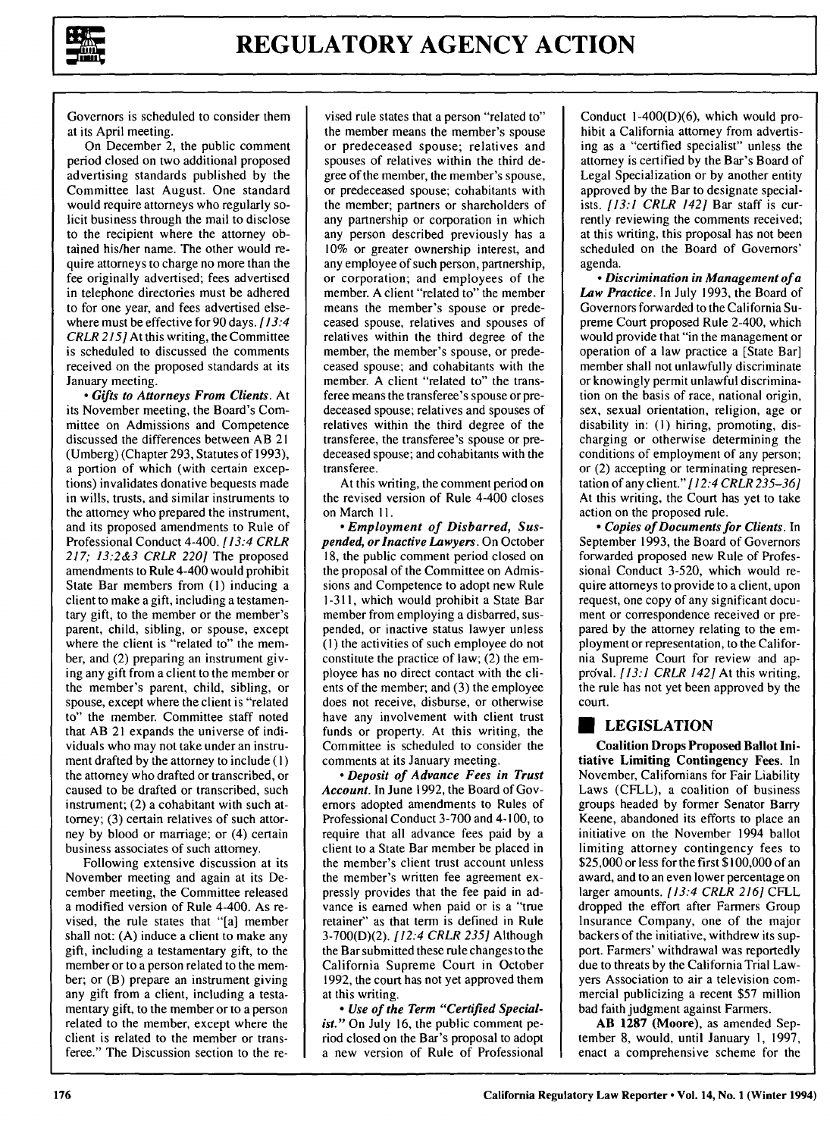

Governors is scheduled to consider them at its April meeting.

On December 2, the public comment period closed on two additional proposed advertising standards published by the Committee last August. One standard would require attorneys who regularly solicit business through the mail to disclose to the recipient where the attorney obtained his/her name. The other would require attorneys to charge no more than the fee originally advertised; fees advertised in telephone directories must be adhered to for one year, and fees advertised elsewhere must be effective for90 days. *[13:4 CRLR* 215] At this writing, the Committee is scheduled to discussed the comments received on the proposed standards at its January meeting.

**\*** *Gifts to Attorneys From Clients.* At its November meeting, the Board's Committee on Admissions and Competence discussed the differences between AB 21 (Umberg) (Chapter **293,** Statutes of **1993),** a portion of which (with certain exceptions) invalidates donative bequests made in wills, trusts, and similar instruments to the attorney who prepared the instrument, and its proposed amendments to Rule of Professional Conduct 4-400. *[13:4 CRLR 217; 13:2&3 CRLR 220]* The proposed amendments to Rule 4-400 would prohibit State Bar members from **(1)** inducing a client to make a gift, including a testamentary gift, to the member or the member's parent, child, sibling, or spouse, except where the client is "related to" the member, and (2) preparing an instrument giving any gift from a client to the member or the member's parent, child, sibling, or spouse, except where the client is "related to" the member. Committee staff noted that AB 21 expands the universe of individuals who may not take under an instrument drafted by the attorney to include (I) the attorney who drafted or transcribed, or caused to be drafted or transcribed, such instrument; (2) a cohabitant with such attorney; (3) certain relatives of such attorney by blood or marriage; or (4) certain business associates of such attorney.

Following extensive discussion at its November meeting and again at its December meeting, the Committee released a modified version of Rule 4-400. As revised, the rule states that "[a] member shall not: (A) induce a client to make any gift, including a testamentary gift, to the member or to a person related to the member; or (B) prepare an instrument giving any gift from a client, including a testamentary gift, to the member or to a person related to the member, except where the client is related to the member or transferee." The Discussion section to the re-

vised rule states that a person "related to" the member means the member's spouse or predeceased spouse; relatives and spouses of relatives within the third degree of the member, the member's spouse, or predeceased spouse; cohabitants with the member; partners or shareholders of any partnership or corporation in which any person described previously has a 10% or greater ownership interest, and any employee of such person, partnership, or corporation; and employees of the member. A client "related to" the member means the member's spouse or predeceased spouse, relatives and spouses of relatives within the third degree of the member, the member's spouse, or predeceased spouse; and cohabitants with the member. A client "related to" the transferee means the transferee's spouse or predeceased spouse; relatives and spouses of relatives within the third degree of the transferee, the transferee's spouse or predeceased spouse; and cohabitants with the transferee.

At this writing, the comment period on the revised version of Rule 4-400 closes on March **11.**

*- Employment of Disbarred, Suspended, or Inactive Lawyers.* On October 18, the public comment period closed on the proposal of the Committee on Admissions and Competence to adopt new Rule 1-311, which would prohibit a State Bar member from employing a disbarred, suspended, or inactive status lawyer unless **(1)** the activities of such employee do not constitute the practice of law; (2) the employee has no direct contact with the clients of the member; and (3) the employee does not receive, disburse, or otherwise have any involvement with client trust funds or property. At this writing, the Committee is scheduled to consider the comments at its January meeting.

*- Deposit of Advance Fees in Trust Account.* In June 1992, the Board of Governors adopted amendments to Rules of Professional Conduct 3-700 and 4-100, to require that all advance fees paid by a client to a State Bar member be placed in the member's client trust account unless the member's written fee agreement expressly provides that the fee paid in advance is earned when paid or is a "true retainer" as that term is defined in Rule 3-700(D)(2). *[12:4 CRLR 235]* Although the Bar submitted these rule changes to the California Supreme Court in October 1992, the court has not yet approved them at this writing.

*- Use of the Term "Certified Specialist."* On July **16,** the public comment period closed on the Bar's proposal to adopt a new version of Rule of Professional

Conduct 1-400(D)(6), which would prohibit a California attorney from advertising as a "certified specialist" unless the attorney is certified by the Bar's Board of Legal Specialization or by another entity approved by the Bar to designate specialists. *[13:1 CRLR 142]* Bar staff is currently reviewing the comments received; at this writing, this proposal has not been scheduled on the Board of Governors' agenda.

*- Discrimination in Management of a Law Practice.* In July **1993,** the Board of Governors forwarded to the California Supreme Court proposed Rule 2-400, which would provide that "in the management or operation of a law practice a [State Bar] member shall not unlawfully discriminate or knowingly permit unlawful discrimination on the basis of race, national origin, sex, sexual orientation, religion, age or disability in: **(I)** hiring, promoting, discharging or otherwise determining the conditions of employment of any person; or (2) accepting or terminating representation of any client." *[12:4 CRLR 235-36]* At this writing, the Court has yet to take action on the proposed rule.

*- Copies of Documents for Clients.* In September 1993, the Board of Governors forwarded proposed new Rule of Professional Conduct 3-520, which would require attorneys to provide to a client, upon request, one copy of any significant document or correspondence received or prepared by the attorney relating to the employment or representation, to the California Supreme Court for review and apprcval. *[13:1 CRLR 142]* At this writing, the rule has not yet been approved by the court.

# **LEGISLATION**

**Coalition Drops Proposed Ballot Initiative Limiting Contingency Fees. In** November, Californians for Fair Liability Laws (CFLL), a coalition of business groups headed by former Senator Barry Keene, abandoned its efforts to place an initiative on the November 1994 ballot limiting attorney contingency fees to \$25,000 or less for the first \$ 100,000 of an award, and to an even lower percentage on larger amounts. *[13:4 CRLR 216]* CFLL dropped the effort after Farmers Group Insurance Company, one of the major backers of the initiative, withdrew its support. Farmers' withdrawal was reportedly due to threats by the California Trial Lawyers Association to air a television commercial publicizing a recent \$57 million bad faith judgment against Farmers.

AB 1287 (Moore), as amended September 8, would, until January **1,** 1997, enact a comprehensive scheme for the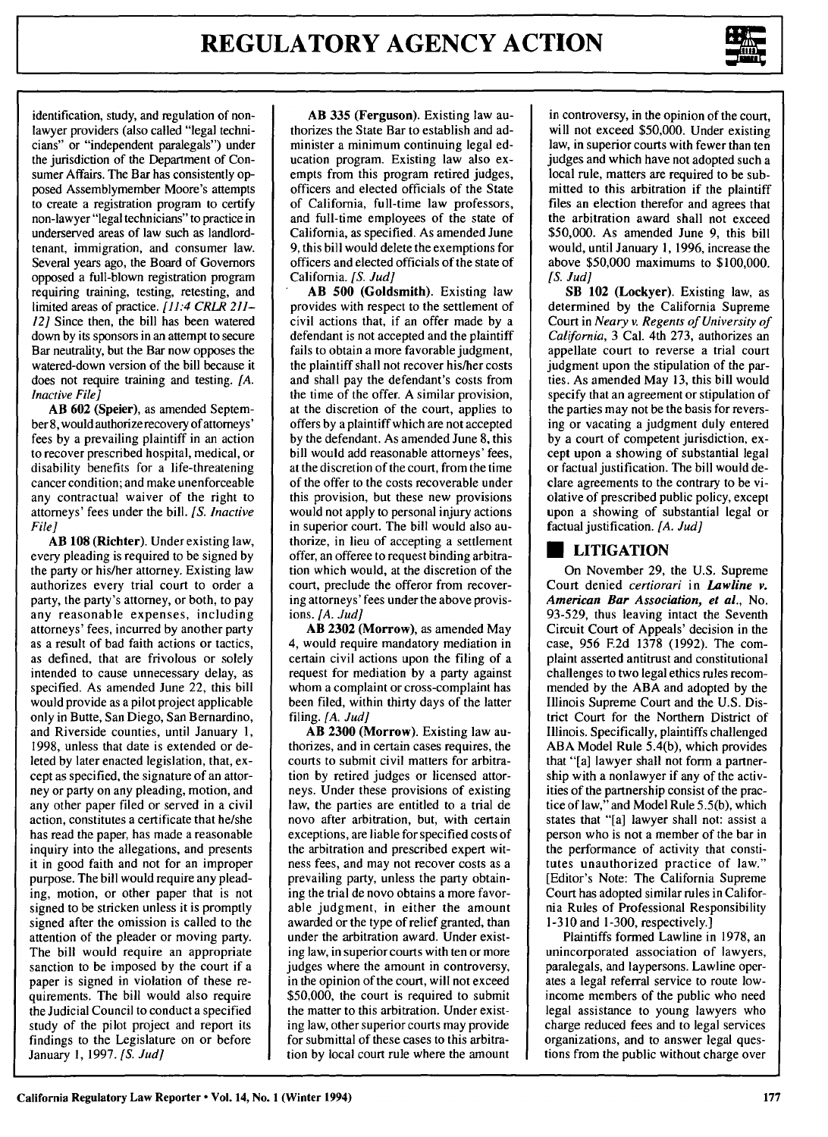

identification, study, and regulation of nonlawyer providers (also called "legal technicians" or "independent paralegals") under the jurisdiction of the Department of Consumer Affairs. The Bar has consistently opposed Assemblymember Moore's attempts to create a registration program to certify non-lawyer "legal technicians" to practice in underserved areas of law such as landlordtenant, immigration, and consumer law. Several years ago, the Board of Governors opposed a full-blown registration program requiring training, testing, retesting, and limited areas of practice. *[11:4 CRLR 211- 12]* Since then, the bill has been watered down by its sponsors in an attempt to secure Bar neutrality, but the Bar now opposes the watered-down version of the bill because it does not require training and testing. *[A. Inactive File]*

**AB 602** (Speier), as amended September 8, would authorize recovery of attorneys' fees by a prevailing plaintiff in an action to recover prescribed hospital, medical, or disability benefits for a life-threatening cancer condition; and make unenforceable any contractual waiver of the right to attorneys' fees under the bill. *[S. Inactive File]*

**AB 108 (Richter).** Under existing law, every pleading is required to be signed by the party or his/her attorney. Existing law authorizes every trial court to order a party, the party's attorney, or both, to pay any reasonable expenses, including attorneys' fees, incurred by another party as a result of bad faith actions or tactics, as defined, that are frivolous or solely intended to cause unnecessary delay, as specified. As amended June 22, this bill would provide as a pilot project applicable only in Butte, San Diego, San Bernardino, and Riverside counties, until January 1, 1998, unless that date is extended or deleted by later enacted legislation, that, except as specified, the signature of an attorney or party on any pleading, motion, and any other paper filed or served in a civil action, constitutes a certificate that he/she has read the paper, has made a reasonable inquiry into the allegations, and presents it in good faith and not for an improper purpose. The bill would require any pleading, motion, or other paper that is not signed to be stricken unless it is promptly signed after the omission is called to the attention of the pleader or moving party. The bill would require an appropriate sanction to be imposed by the court if a paper is signed in violation of these requirements. The bill would also require the Judicial Council to conduct a specified study of the pilot project and report its findings to the Legislature on or before January 1, 1997. *[S. Jud]*

**AB 335** (Ferguson). Existing law authorizes the State Bar to establish and administer a minimum continuing legal education program. Existing law also exempts from this program retired judges, officers and elected officials of the State of California, full-time law professors, and full-time employees of the state of California, as specified. As amended June 9, this bill would delete the exemptions for officers and elected officials of the state of California. *[S.* Jud]

AB **500** (Goldsmith). Existing law provides with respect to the settlement of civil actions that, if an offer made by a defendant is not accepted and the plaintiff fails to obtain a more favorable judgment, the plaintiff shall not recover his/her costs and shall pay the defendant's costs from the time of the offer. A similar provision, at the discretion of the court, applies to offers by a plaintiff which are not accepted by the defendant. As amended June 8, this bill would add reasonable attorneys' fees, at the discretion of the court, from the time of the offer to the costs recoverable under this provision, but these new provisions would not apply to personal injury actions in superior court. The bill would also authorize, in lieu of accepting a settlement offer, an offeree to request binding arbitration which would, at the discretion of the court, preclude the offeror from recovering attorneys' fees under the above provisions. *[A. Jud]*

**AB 2302** (Morrow), as amended May 4, would require mandatory mediation in certain civil actions upon the filing of a request for mediation **by** a party against whom a complaint or cross-complaint has been filed, within thirty days of the latter filing. *[A. Jud]*

**AB 2300 (Morrow).** Existing law authorizes, and in certain cases requires, the courts to submit civil matters for arbitration **by** retired judges or licensed attorneys. Under these provisions of existing law, the parties are entitled to a trial de novo after arbitration, but, with certain exceptions, are liable for specified costs of the arbitration and prescribed expert witness fees, and may not recover costs as a prevailing party, unless the party obtaining the trial **de** novo obtains a more favorable judgment, in either the amount awarded or the type of relief granted, than under the arbitration award. Under existing law, in superior courts with ten or more judges where the amount in controversy, in the opinion of the court, will not exceed **\$50,000,** the court is required to submit the matter to this arbitration. Under existing law, other superior courts may provide for submittal of these cases to this arbitration **by** local court rule where the amount

in controversy, in the opinion of the court, will not exceed \$50,000. Under existing law, in superior courts with fewer than ten judges and which have not adopted such a local rule, matters are required to be submitted to this arbitration if the plaintiff files an election therefor and agrees that the arbitration award shall not exceed \$50,000. As amended June 9, this bill would, until January 1, 1996, increase the above \$50,000 maximums to \$100,000. *IS.* Judl

SB **102** (Lockyer). Existing law, as determined by the California Supreme Court in *Neary v. Regents of University of California,* 3 Cal. 4th 273, authorizes an appellate court to reverse a trial court judgment upon the stipulation of the parties. As amended May 13, this bill would specify that an agreement or stipulation of the parties may not be the basis for reversing or vacating a judgment duly entered by a court of competent jurisdiction, except upon a showing of substantial legal or factual justification. The bill would declare agreements to the contrary to be violative of prescribed public policy, except upon a showing of substantial legal or factual justification. *[A. Jud]*

# **\* LITIGATION**

On November 29, the U.S. Supreme Court denied *certiorari* in *Lawline v. American Bar Association, et al.,* No. 93-529, thus leaving intact the Seventh Circuit Court of Appeals' decision in the case, 956 **F.2d** 1378 (1992). The complaint asserted antitrust and constitutional challenges to two legal ethics rules recommended by the ABA and adopted by the Illinois Supreme Court and the U.S. District Court for the Northern District of Illinois. Specifically, plaintiffs challenged ABA Model Rule 5.4(b), which provides that "[a] lawyer shall not form a partnership with a nonlawyer if any of the activities of the partnership consist of the practice of law," and Model Rule 5.5(b), which states that "[a] lawyer shall not: assist a person who is not a member of the bar in the performance of activity that constitutes unauthorized practice of law." [Editor's Note: The California Supreme Court has adopted similar rules in California Rules of Professional Responsibility **1-3** 10 and 1-300, respectively.]

Plaintiffs formed Lawline in 1978, an unincorporated association of lawyers, paralegals, and laypersons. Lawline operates a legal referral service to route lowincome members of the public who need legal assistance to young lawyers who charge reduced fees and to legal services organizations, and to answer legal questions from the public without charge over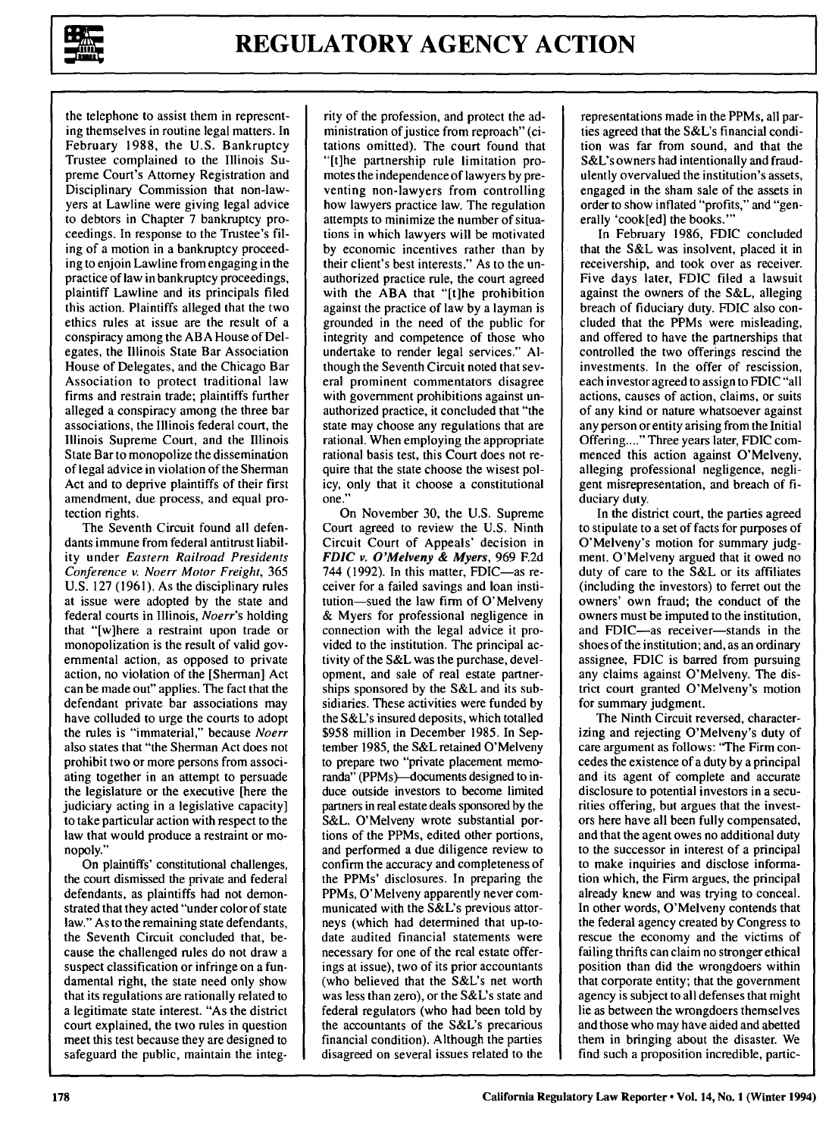

the telephone to assist them in representing themselves in routine legal matters. In February 1988, the **U.S.** Bankruptcy Trustee complained to the Illinois Supreme Court's Attorney Registration and Disciplinary Commission that non-lawyers at Lawline were giving legal advice to debtors in Chapter 7 bankruptcy proceedings. In response to the Trustee's filing of a motion in a bankruptcy proceeding to enjoin Lawline from engaging in the practice of law in bankruptcy proceedings, plaintiff Lawline and its principals filed this action. Plaintiffs alleged that the two ethics rules at issue are the result of a conspiracy among the ABA House of Delegates, the Illinois State Bar Association House of Delegates, and the Chicago Bar Association to protect traditional law firms and restrain trade; plaintiffs further alleged a conspiracy among the three bar associations, the Illinois federal court, the Illinois Supreme Court, and the Illinois State Bar to monopolize the dissemination of legal advice in violation of the Sherman Act and to deprive plaintiffs of their first amendment, due process, and equal protection rights.

The Seventh Circuit found all defendants immune from federal antitrust liability under *Eastern Railroad Presidents Conference v. Noerr Motor Freight,* **365** U.S. 127 (1961). As the disciplinary rules at issue were adopted by the state and federal courts in Illinois, *Noerr's* holding that "[w]here a restraint upon trade or monopolization is the result of valid governmental action, as opposed to private action, no violation of the [Sherman] Act can be made out" applies. The fact that the defendant private bar associations may have colluded to urge the courts to adopt the rules is "immaterial," because *Noerr* also states that "the Sherman Act does not prohibit two or more persons from associating together in an attempt to persuade the legislature or the executive [here the judiciary acting in a legislative capacity] to take particular action with respect to the law that would produce a restraint or monopoly."

On plaintiffs' constitutional challenges, the court dismissed the private and federal defendants, as plaintiffs had not demonstrated that they acted "under color of state law." As to the remaining state defendants, the Seventh Circuit concluded that, because the challenged rules do not draw a suspect classification or infringe on a fundamental right, the state need only show that its regulations are rationally related to a legitimate state interest. "As the district court explained, the two rules in question meet this test because they are designed to safeguard the public, maintain the integ-

rity of the profession, and protect the administration of justice from reproach" (citations omitted). The court found that "[t]he partnership rule limitation promotes the independence of lawyers by preventing non-lawyers from controlling how lawyers practice law. The regulation attempts to minimize the number of situations in which lawyers will be motivated by economic incentives rather than by their client's best interests." As to the unauthorized practice rule, the court agreed with the ABA that "[t]he prohibition against the practice of law by a layman is grounded in the need of the public for integrity and competence of those who undertake to render legal services." Although the Seventh Circuit noted that several prominent commentators disagree with government prohibitions against unauthorized practice, it concluded that "the state may choose any regulations that are rational. When employing the appropriate rational basis test, this Court does not require that the state choose the wisest policy, only that it choose a constitutional one."

On November 30, the U.S. Supreme Court agreed to review the U.S. Ninth Circuit Court of Appeals' decision in *FDIC v.* O'Melveny **&** Myers, 969 **F.2d** 744 (1992). In this matter, FDIC $-$ as receiver for a failed savings and loan institution-sued the law firm of O'Melveny & Myers for professional negligence in connection with the legal advice it provided to the institution. The principal activity of the S&L was the purchase, development, and sale of real estate partnerships sponsored by the S&L and its subsidiaries. These activities were funded by the S&L's insured deposits, which totalled \$958 million in December 1985. In September 1985, the S&L retained O'Melveny to prepare two "private placement memoranda" (PPMs)—documents designed to induce outside investors to become limited partners in real estate deals sponsored by the S&L. O'Melveny wrote substantial portions of the PPMs, edited other portions, and performed a due diligence review to confirm the accuracy and completeness of the PPMs' disclosures. In preparing the PPMs, O'Melveny apparently never communicated with the S&L's previous attorneys (which had determined that up-todate audited financial statements were necessary for one of the real estate offerings at issue), two of its prior accountants (who believed that the S&L's net worth was less than zero), or the S&L's state and federal regulators (who had been told by the accountants of the S&L's precarious financial condition). Although the parties disagreed on several issues related to the

representations made in the PPMs, all parties agreed that the S&L's financial condition was far from sound, and that the S&L's owners had intentionally and fraudulently overvalued the institution's assets, engaged in the sham sale of the assets in order to show inflated "profits," and "generally 'cook[ed] the books."'

In February 1986, FDIC concluded that the S&L was insolvent, placed it in receivership, and took over as receiver. Five days later, FDIC filed a lawsuit against the owners of the S&L, alleging breach of fiduciary duty. FDIC also concluded that the PPMs were misleading, and offered to have the partnerships that controlled the two offerings rescind the investments. In the offer of rescission, each investor agreed to assign to FDIC "all actions, causes of action, claims, or suits of any kind or nature whatsoever against any person or entity arising from the Initial Offering....." Three years later, FDIC commenced this action against O'Melveny, alleging professional negligence, negligent misrepresentation, and breach of fiduciary duty.

In the district court, the parties agreed to stipulate to a set of facts for purposes of O'Melveny's motion for summary judgment. O'Melveny argued that it owed no duty of care to the S&L or its affiliates (including the investors) to ferret out the owners' own fraud; the conduct of the owners must be imputed to the institution, and FDIC-as receiver-stands in the shoes of the institution; and, as an ordinary assignee, FDIC is barred from pursuing any claims against O'Melveny. The district court granted O'Melveny's motion for summary judgment.

The Ninth Circuit reversed, characterizing and rejecting O'Melveny's duty of care argument as follows: "The Firm concedes the existence of a duty by a principal and its agent of complete and accurate disclosure to potential investors in a securities offering, but argues that the investors here have all been fully compensated, and that the agent owes no additional duty to the successor in interest of a principal to make inquiries and disclose information which, the Firm argues, the principal already knew and was trying to conceal. In other words, O'Melveny contends that the federal agency created by Congress to rescue the economy and the victims of failing thrifts can claim no stronger ethical position than did the wrongdoers within that corporate entity; that the government agency is subject to all defenses that might lie as between the wrongdoers themselves and those who may have aided and abetted them in bringing about the disaster. We find such a proposition incredible, partic-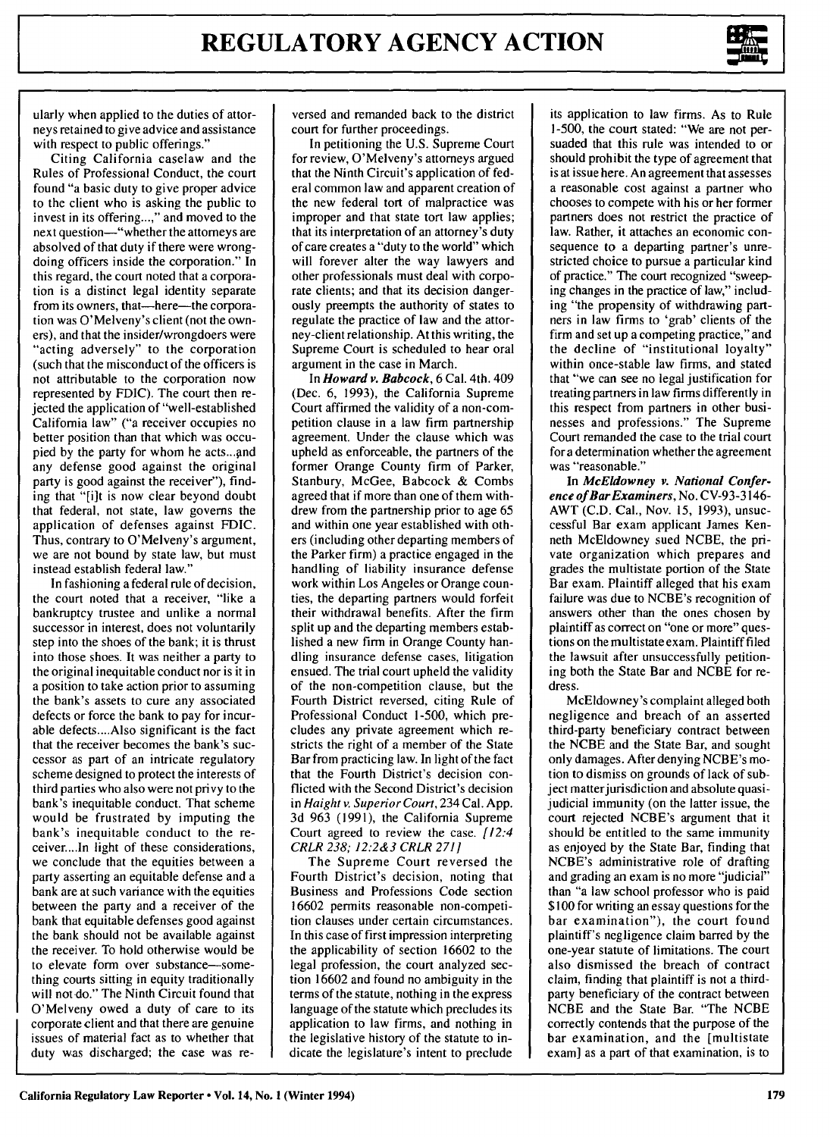

ularly when applied to the duties of attorneys retained to give advice and assistance with respect to public offerings.'

Citing California caselaw and the Rules of Professional Conduct, the court found "a basic duty to give proper advice to the client who is asking the public to invest in its offering...," and moved to the next question-"whether the attorneys are absolved of that duty if there were wrongdoing officers inside the corporation." In this regard, the court noted that a corporation is a distinct legal identity separate from its owners, that-here-the corporation was O'Melveny's client (not the owners), and that the insider/wrongdoers were "acting adversely" to the corporation (such that the misconduct of the officers is not attributable to the corporation now represented by FDIC). The court then rejected the application of "well-established California law" ("a receiver occupies no better position than that which was occupied by the party for whom he acts...and any defense good against the original party is good against the receiver"), finding that "[i]t is now clear beyond doubt that federal, not state, law governs the application of defenses against FDIC. Thus, contrary to O'Melveny's argument, we are not bound by state law, but must instead establish federal law."

In fashioning a federal rule of decision, the court noted that a receiver, "like a bankruptcy trustee and unlike a normal successor in interest, does not voluntarily step into the shoes of the bank; it is thrust into those shoes. It was neither a party to the original inequitable conduct nor is it in a position to take action prior to assuming the bank's assets to cure any associated defects or force the bank to pay for incurable defects....Also significant is the fact that the receiver becomes the bank's successor as part of an intricate regulatory scheme designed to protect the interests of third parties who also were not privy to the bank's inequitable conduct. That scheme would be frustrated by imputing the bank's inequitable conduct to the receiver....In light of these considerations, we conclude that the equities between a party asserting an equitable defense and a bank are at such variance with the equities between the party and a receiver of the bank that equitable defenses good against the bank should not be available against the receiver. To hold otherwise would be to elevate form over substance-something courts sitting in equity traditionally will not do." The Ninth Circuit found that O'Melveny owed a duty of care to its corporate client and that there are genuine issues of material fact as to whether that duty was discharged; the case was re-

versed and remanded back to the district court for further proceedings.

In petitioning the U.S. Supreme Court for review, O'Melveny's attorneys argued that the Ninth Circuit's application of federal common law and apparent creation of the new federal tort of malpractice was improper and that state tort law applies; that its interpretation of an attorney's duty of care creates a "duty to the world" which will forever alter the way lawyers and other professionals must deal with corporate clients; and that its decision dangerously preempts the authority of states to regulate the practice of law and the attorney-client relationship. At this writing, the Supreme Court is scheduled to hear oral argument in the case in March.

In *Howard v. Babcock,* **6** Cal. 4th. 409 (Dec. 6, 1993), the California Supreme Court affirmed the validity of a non-competition clause in a law firm partnership agreement. Under the clause which was upheld as enforceable, the partners of the former Orange County firm of Parker, Stanbury, McGee, Babcock & Combs agreed that if more than one of them withdrew from the partnership prior to age 65 and within one year established with others (including other departing members of the Parker firm) a practice engaged in the handling of liability insurance defense work within Los Angeles or Orange counties, the departing partners would forfeit their withdrawal benefits. After the firm split up and the departing members established a new firm in Orange County handling insurance defense cases, litigation ensued. The trial court upheld the validity of the non-competition clause, but the Fourth District reversed, citing Rule of Professional Conduct 1-500, which precludes any private agreement which restricts the right of a member of the State Bar from practicing law. In light of the fact that the Fourth District's decision conflicted with the Second District's decision in *Haight v. Superior Court,* 234 Cal. App. 3d 963 (1991), the California Supreme Court agreed to review the case. *[12:4 CRLR 238; 12:2&3 CRLR 271]*

The Supreme Court reversed the Fourth District's decision, noting that Business and Professions Code section 16602 permits reasonable non-competition clauses under certain circumstances. In this case of first impression interpreting the applicability of section 16602 to the legal profession, the court analyzed section 16602 and found no ambiguity in the terms of the statute, nothing in the express language of the statute which precludes its application to law firms, and nothing in the legislative history of the statute to indicate the legislature's intent to preclude its application to law firms. As to Rule 1-500, the court stated: "We are not persuaded that this rule was intended to or should prohibit the type of agreement that is at issue here. An agreement that assesses a reasonable cost against a partner who chooses to compete with his or her former partners does not restrict the practice of law. Rather, it attaches an economic consequence to a departing partner's unrestricted choice to pursue a particular kind of practice." The court recognized "sweeping changes in the practice of law," including "the propensity of withdrawing partners in law firms to 'grab' clients of the firm and set up a competing practice," and the decline of "institutional loyalty" within once-stable law firms, and stated that "we can see no legal justification for treating partners in law firms differently in this respect from partners in other businesses and professions." The Supreme Court remanded the case to the trial court for a determination whether the agreement was "reasonable."

In *McEldowney v. National Conference of Bar Examiners,* No. CV-93-3146- AWT (C.D. Cal., Nov. 15, 1993), unsuccessful Bar exam applicant James Kenneth McEldowney sued NCBE, the private organization which prepares and grades the multistate portion of the State Bar exam. Plaintiff alleged that his exam failure was due to NCBE's recognition of answers other than the ones chosen by plaintiff as correct on "one or more" questions on the multistate exam. Plaintiff filed the lawsuit after unsuccessfully petitioning both the State Bar and NCBE for redress.

McEldowney's complaint alleged both negligence and breach of an asserted third-party beneficiary contract between the NCBE and the State Bar, and sought only damages. After denying NCBE's motion to dismiss on grounds of lack of subject matter jurisdiction and absolute quasijudicial immunity (on the latter issue, the court rejected NCBE's argument that it should be entitled to the same immunity as enjoyed by the State Bar, finding that NCBE's administrative role of drafting and grading an exam is no more "judicial" than "a law school professor who is paid \$100 for writing an essay questions for the bar examination"), the court found plaintiff's negligence claim barred by the one-year statute of limitations. The court also dismissed the breach of contract claim, finding that plaintiff is not a thirdparty beneficiary of the contract between NCBE and the State Bar. "The NCBE correctly contends that the purpose of the bar examination, and the [multistate exam] as a part of that examination, is to